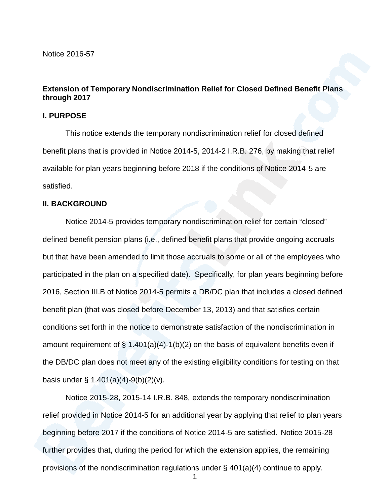Notice 2016-57

## **Extension of Temporary Nondiscrimination Relief for Closed Defined Benefit Plans through 2017**

#### **I. PURPOSE**

This notice extends the temporary nondiscrimination relief for closed defined benefit plans that is provided in Notice 2014-5, 2014-2 I.R.B. 276, by making that relief available for plan years beginning before 2018 if the conditions of Notice 2014-5 are satisfied.

### **II. BACKGROUND**

Notice 2014-5 provides temporary nondiscrimination relief for certain "closed" defined benefit pension plans (i.e., defined benefit plans that provide ongoing accruals but that have been amended to limit those accruals to some or all of the employees who participated in the plan on a specified date). Specifically, for plan years beginning before 2016, Section III.B of Notice 2014-5 permits a DB/DC plan that includes a closed defined benefit plan (that was closed before December 13, 2013) and that satisfies certain conditions setforth in the notice to demonstrate satisfaction of the nondiscrimination in amount requirement of  $\S$  1.401(a)(4)-1(b)(2) on the basis of equivalent benefits even if the DB/DC plan does not meet any of the existing eligibility conditions for testing on that basis under § 1.401(a)(4)-9(b)(2)(v).

Notice 2015-28, 2015-14 I.R.B. 848, extends the temporary nondiscrimination relief provided in Notice 2014-5 for an additional year by applying that relief to plan years beginning before 2017 if the conditions of Notice 2014-5 are satisfied. Notice 2015-28 further provides that, during the period for which the extension applies, the remaining provisions of the nondiscrimination regulations under § 401(a)(4) continue to apply.

1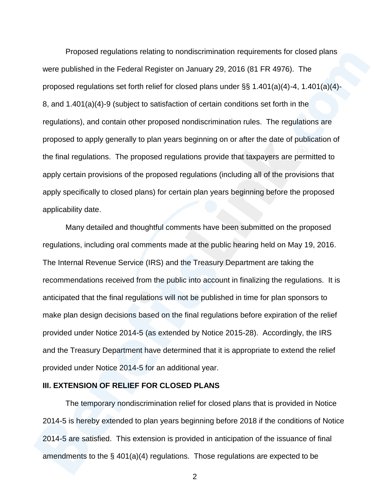Proposed regulations relating to nondiscrimination requirements for closed plans were published in the Federal Register on January 29, 2016 (81 FR 4976). The proposed regulations set forth relief for closed plans under §§ 1.401(a)(4)-4, 1.401(a)(4)- 8, and 1.401(a)(4)-9 (subject to satisfaction of certain conditions set forth in the regulations), and contain other proposed nondiscrimination rules. The regulations are proposed to apply generally to plan years beginning on or after the date of publication of the final regulations. The proposed regulations provide that taxpayers are permitted to apply certain provisions of the proposed regulations (including all of the provisions that apply specifically to closed plans) for certain plan years beginning before the proposed applicability date.

Many detailed and thoughtful comments have been submitted on the proposed regulations, including oral comments made at the public hearing held on May 19, 2016. The Internal Revenue Service (IRS) and the Treasury Department are taking the recommendations received from the public into account in finalizing the regulations. It is anticipated that the final regulations will not be published in time for plan sponsors to make plan design decisions based on the final regulations before expiration of the relief provided under Notice 2014-5 (as extended by Notice 2015-28). Accordingly, the IRS and the Treasury Department have determined that it is appropriate to extend the relief provided under Notice 2014-5 for an additional year.

## **III. EXTENSION OF RELIEF FOR CLOSED PLANS**

The temporary nondiscrimination relief for closed plans that is provided in Notice 2014-5 is hereby extended to plan years beginning before 2018 if the conditions of Notice 2014-5 are satisfied. This extension is provided in anticipation of the issuance of final amendments to the § 401(a)(4) regulations. Those regulations are expected to be

2